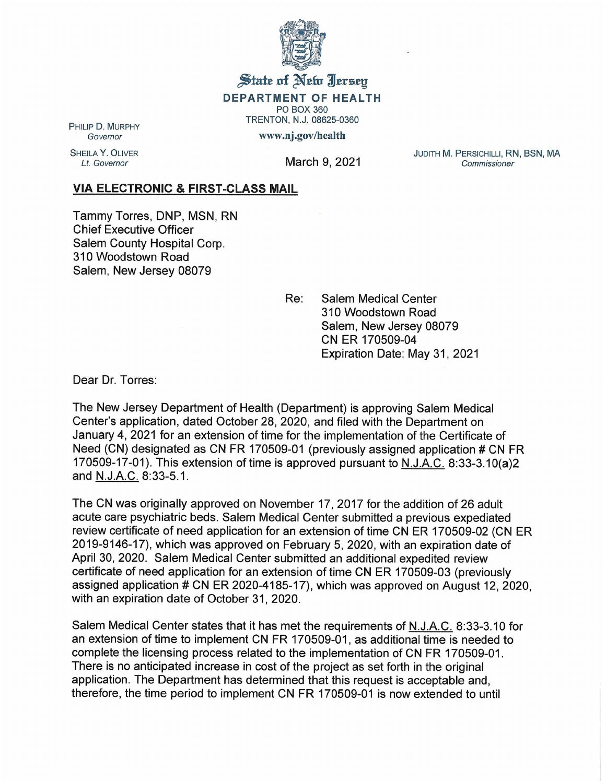

State of New Jersey DEPARTMENT OF HEALTH PO BOX 360

TRENTON, N.J. 08625-0360

www.nj.gov/health

PHILIP D. MURPHY **Governor** 

SHEILA Y. OLIVER<br>Lt. Governor

March 9, 2021

JUDITH M. PERSICHILLI, RN, BSN, MA Commissioner

## VIA ELECTRONIC & FIRST-CLASS MAIL

Tammy Torres, DNP, MSN, RN Chief Executive Officer Salem County Hospital Corp. 310 Woodstown Road Salem, New Jersey 08079

> Re: Salem Medical Center 310 Woodstown Road Salem, New Jersey 08079 CN ER 170509-04 Expiration Date: May 31, 2021

Dear Dr. Torres:

The New Jersey Department of Health (Department) is approving Salem Medical Center's application, dated October 28, 2020, and filed with the Department on January 4, 2021 for an extension of time for the implementation of the Certificate of Need (CN) designated as CN FR 170509-01 (previously assigned application # CN FR 170509-17-01). This extension of time is approved pursuant to N. J.A.C. 8:33-3.10(a)2 and N.J.A.C. 8:33-5.1.

The CN was originally approved on November 17, 2017 for the addition of 26 adult acute care psychiatric beds. Salem Medical Center submitted a previous expediated review certificate of need application for an extension of time CN ER 170509-02 (CN ER 2019-9146-17), which was approved on February 5, 2020, with an expiration date of April 30, 2020. Salem Medical Center submitted an additional expedited review certificate of need application for an extension of time CN ER 170509-03 (previously assigned application # CN ER 2020-4185-17), which was approved on August 12, 2020, with an expiration date of October 31, 2020.

Salem Medical Center states that it has met the requirements of N. J.A.C. 8:33-3.10 for an extension of time to implement CN FR 170509-01, as additional time is needed to complete the licensing process related to the implementation of CN FR 170509-01. There is no anticipated increase in cost of the project as set forth in the original application. The Department has determined that this request is acceptable and, therefore, the time period to implement CN FR 170509-01 is now extended to until